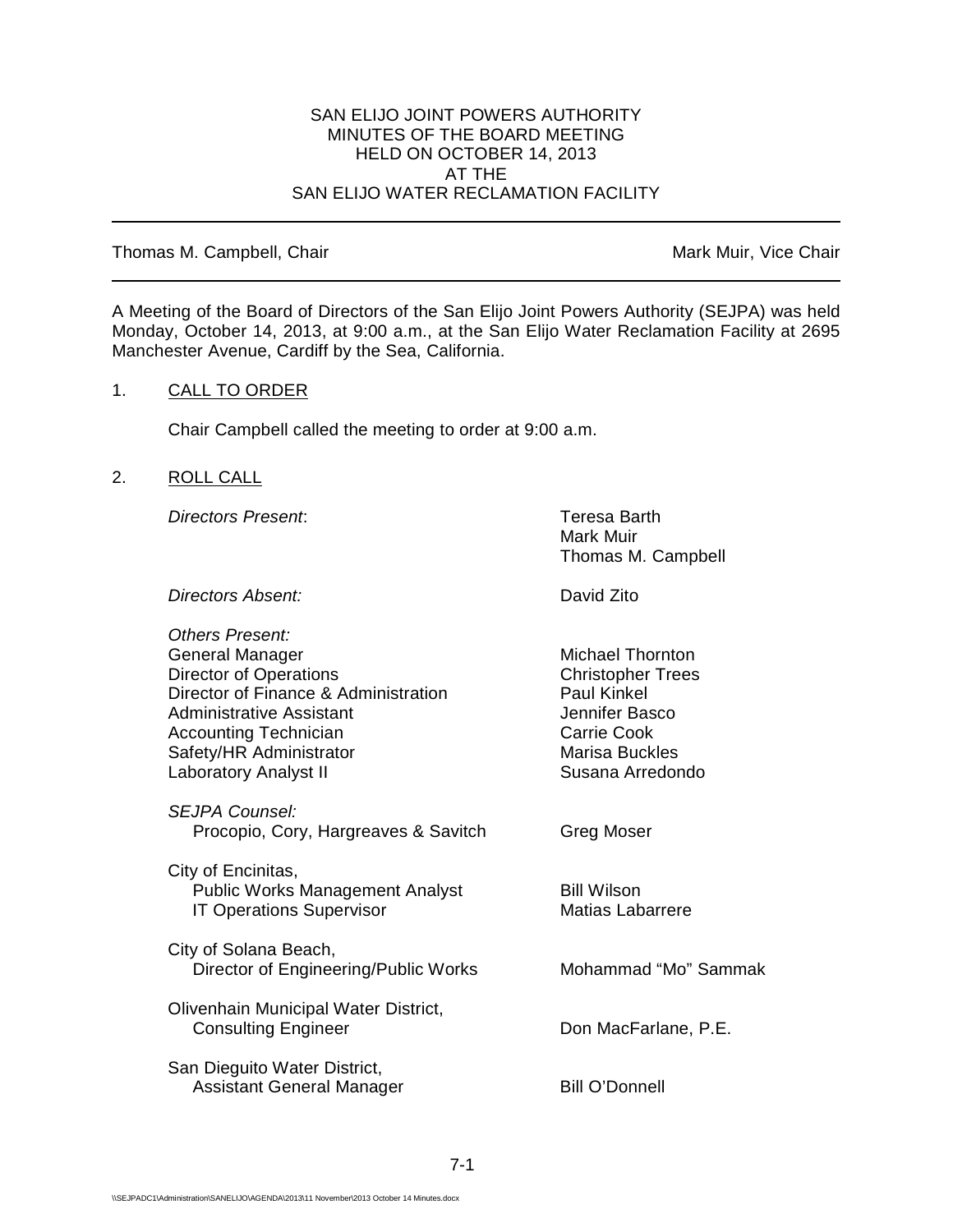### SAN ELIJO JOINT POWERS AUTHORITY MINUTES OF THE BOARD MEETING HELD ON OCTOBER 14, 2013 AT THE SAN ELIJO WATER RECLAMATION FACILITY

### Thomas M. Campbell, Chair Mark Muir, Vice Chair Muir, Vice Chair

A Meeting of the Board of Directors of the San Elijo Joint Powers Authority (SEJPA) was held Monday, October 14, 2013, at 9:00 a.m., at the San Elijo Water Reclamation Facility at 2695 Manchester Avenue, Cardiff by the Sea, California.

## 1. CALL TO ORDER

Chair Campbell called the meeting to order at 9:00 a.m.

## 2. ROLL CALL

*Directors Present*: Teresa Barth

Mark Muir Thomas M. Campbell

*Directors Absent:* David Zito

| Others Present:<br>General Manager<br><b>Director of Operations</b><br>Director of Finance & Administration<br>Administrative Assistant<br><b>Accounting Technician</b><br>Safety/HR Administrator<br><b>Laboratory Analyst II</b> | Michael Thornton<br><b>Christopher Trees</b><br><b>Paul Kinkel</b><br>Jennifer Basco<br>Carrie Cook<br><b>Marisa Buckles</b><br>Susana Arredondo |
|------------------------------------------------------------------------------------------------------------------------------------------------------------------------------------------------------------------------------------|--------------------------------------------------------------------------------------------------------------------------------------------------|
| <b>SEJPA Counsel:</b><br>Procopio, Cory, Hargreaves & Savitch                                                                                                                                                                      | Greg Moser                                                                                                                                       |
| City of Encinitas,<br><b>Public Works Management Analyst</b><br><b>IT Operations Supervisor</b>                                                                                                                                    | <b>Bill Wilson</b><br><b>Matias Labarrere</b>                                                                                                    |
| City of Solana Beach,<br>Director of Engineering/Public Works                                                                                                                                                                      | Mohammad "Mo" Sammak                                                                                                                             |
| Olivenhain Municipal Water District,<br><b>Consulting Engineer</b>                                                                                                                                                                 | Don MacFarlane, P.E.                                                                                                                             |
| San Dieguito Water District,<br><b>Assistant General Manager</b>                                                                                                                                                                   | <b>Bill O'Donnell</b>                                                                                                                            |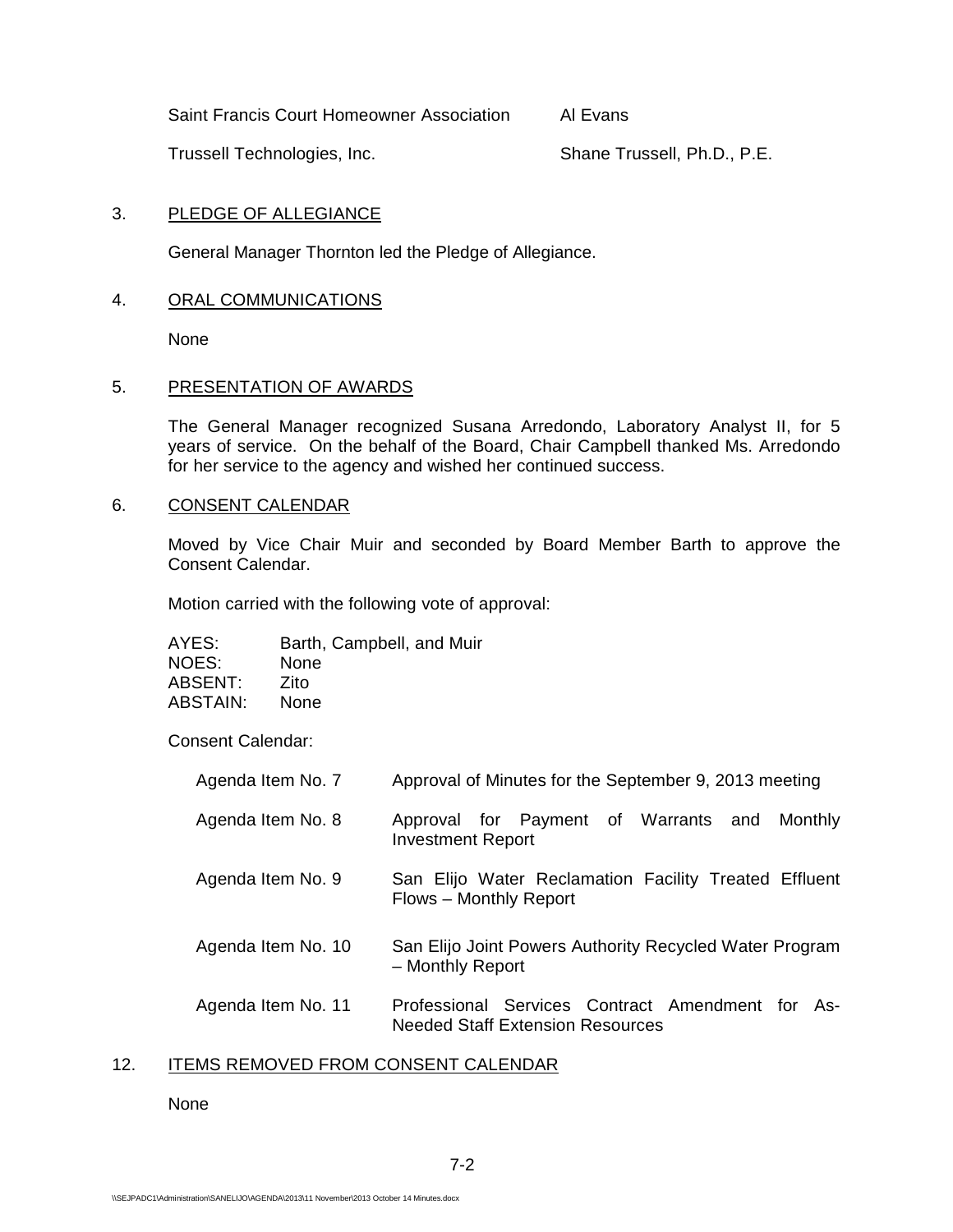Saint Francis Court Homeowner Association Al Evans

Trussell Technologies, Inc. Shane Trussell, Ph.D., P.E.

## 3. PLEDGE OF ALLEGIANCE

General Manager Thornton led the Pledge of Allegiance.

## 4. ORAL COMMUNICATIONS

None

## 5. PRESENTATION OF AWARDS

The General Manager recognized Susana Arredondo, Laboratory Analyst II, for 5 years of service. On the behalf of the Board, Chair Campbell thanked Ms. Arredondo for her service to the agency and wished her continued success.

### 6. CONSENT CALENDAR

Moved by Vice Chair Muir and seconded by Board Member Barth to approve the Consent Calendar.

Motion carried with the following vote of approval:

| AYES:    | Barth, Campbell, and Muir |
|----------|---------------------------|
| NOES:    | None                      |
| ABSENT:  | Zito                      |
| ABSTAIN: | None                      |

Consent Calendar:

| Agenda Item No. 7  | Approval of Minutes for the September 9, 2013 meeting                                       |
|--------------------|---------------------------------------------------------------------------------------------|
| Agenda Item No. 8  | Approval for Payment of Warrants and<br>Monthly<br><b>Investment Report</b>                 |
| Agenda Item No. 9  | San Elijo Water Reclamation Facility Treated Effluent<br>Flows - Monthly Report             |
| Agenda Item No. 10 | San Elijo Joint Powers Authority Recycled Water Program<br>- Monthly Report                 |
| Agenda Item No. 11 | Professional Services Contract Amendment for As-<br><b>Needed Staff Extension Resources</b> |

## 12. ITEMS REMOVED FROM CONSENT CALENDAR

None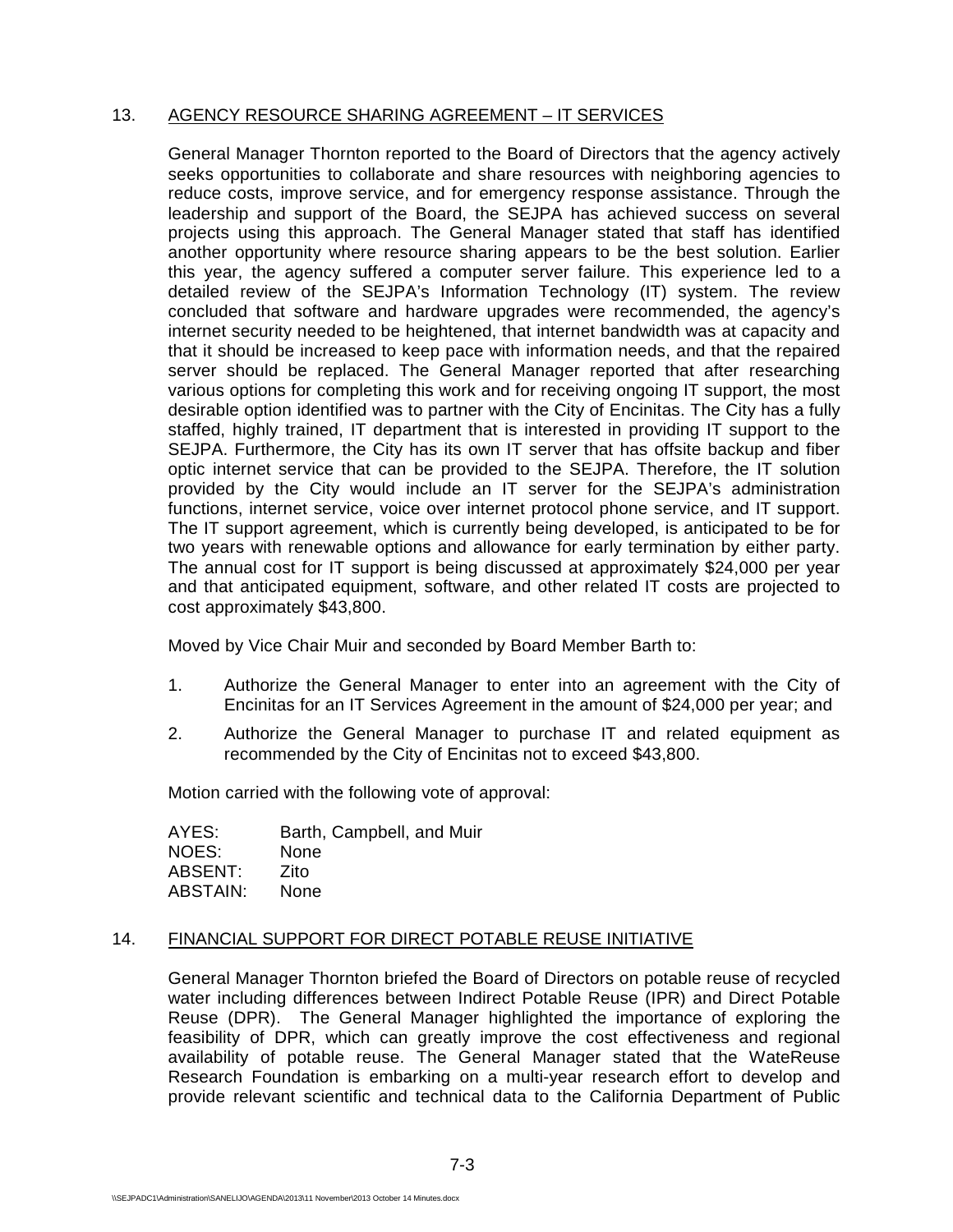## 13. AGENCY RESOURCE SHARING AGREEMENT – IT SERVICES

General Manager Thornton reported to the Board of Directors that the agency actively seeks opportunities to collaborate and share resources with neighboring agencies to reduce costs, improve service, and for emergency response assistance. Through the leadership and support of the Board, the SEJPA has achieved success on several projects using this approach. The General Manager stated that staff has identified another opportunity where resource sharing appears to be the best solution. Earlier this year, the agency suffered a computer server failure. This experience led to a detailed review of the SEJPA's Information Technology (IT) system. The review concluded that software and hardware upgrades were recommended, the agency's internet security needed to be heightened, that internet bandwidth was at capacity and that it should be increased to keep pace with information needs, and that the repaired server should be replaced. The General Manager reported that after researching various options for completing this work and for receiving ongoing IT support, the most desirable option identified was to partner with the City of Encinitas. The City has a fully staffed, highly trained, IT department that is interested in providing IT support to the SEJPA. Furthermore, the City has its own IT server that has offsite backup and fiber optic internet service that can be provided to the SEJPA. Therefore, the IT solution provided by the City would include an IT server for the SEJPA's administration functions, internet service, voice over internet protocol phone service, and IT support. The IT support agreement, which is currently being developed, is anticipated to be for two years with renewable options and allowance for early termination by either party. The annual cost for IT support is being discussed at approximately \$24,000 per year and that anticipated equipment, software, and other related IT costs are projected to cost approximately \$43,800.

Moved by Vice Chair Muir and seconded by Board Member Barth to:

- 1. Authorize the General Manager to enter into an agreement with the City of Encinitas for an IT Services Agreement in the amount of \$24,000 per year; and
- 2. Authorize the General Manager to purchase IT and related equipment as recommended by the City of Encinitas not to exceed \$43,800.

Motion carried with the following vote of approval:

AYES: Barth, Campbell, and Muir NOES: None<br>ABSENT: *7*ito **ABSENT:** ABSTAIN: None

### 14. FINANCIAL SUPPORT FOR DIRECT POTABLE REUSE INITIATIVE

General Manager Thornton briefed the Board of Directors on potable reuse of recycled water including differences between Indirect Potable Reuse (IPR) and Direct Potable Reuse (DPR). The General Manager highlighted the importance of exploring the feasibility of DPR, which can greatly improve the cost effectiveness and regional availability of potable reuse. The General Manager stated that the WateReuse Research Foundation is embarking on a multi-year research effort to develop and provide relevant scientific and technical data to the California Department of Public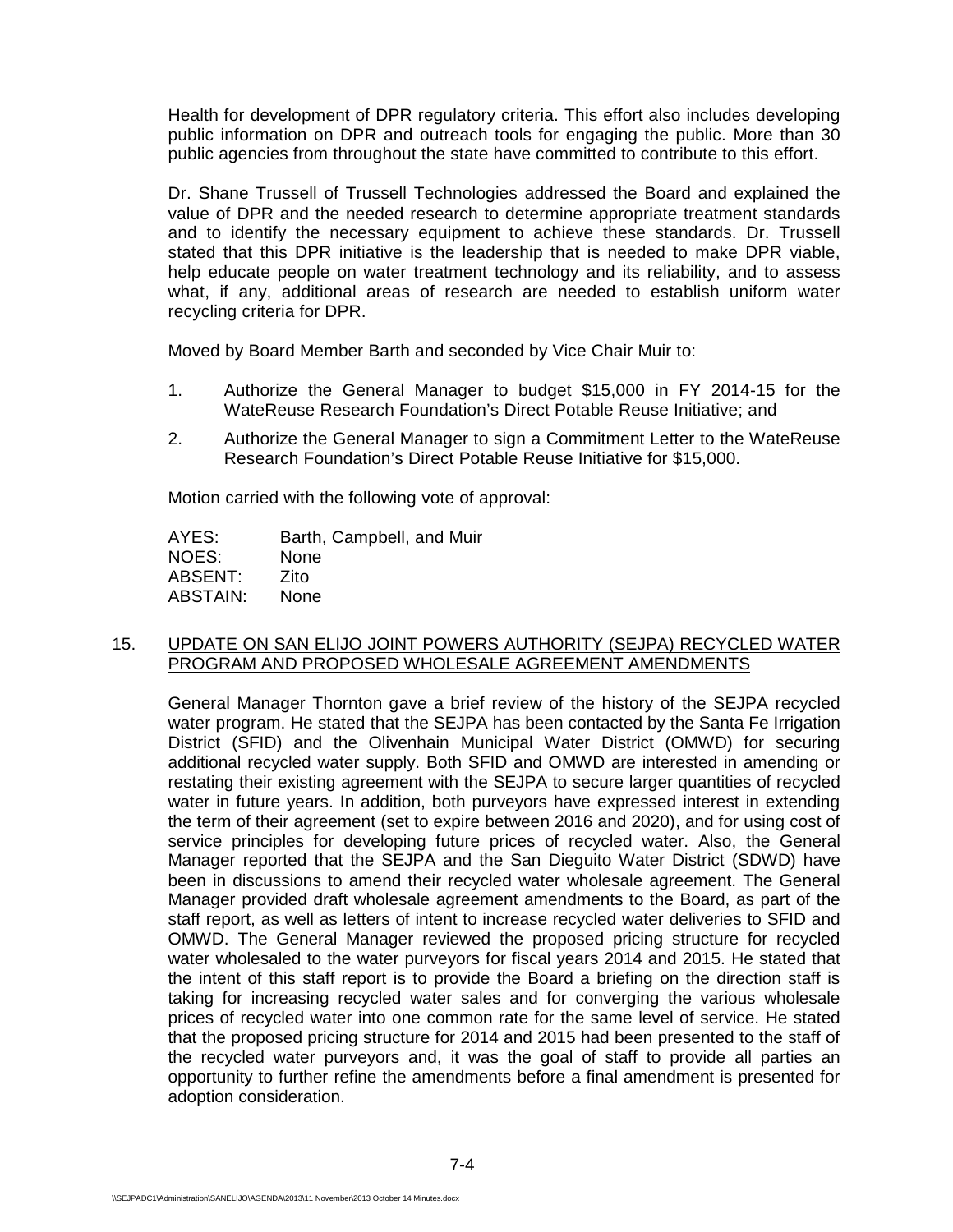Health for development of DPR regulatory criteria. This effort also includes developing public information on DPR and outreach tools for engaging the public. More than 30 public agencies from throughout the state have committed to contribute to this effort.

Dr. Shane Trussell of Trussell Technologies addressed the Board and explained the value of DPR and the needed research to determine appropriate treatment standards and to identify the necessary equipment to achieve these standards. Dr. Trussell stated that this DPR initiative is the leadership that is needed to make DPR viable, help educate people on water treatment technology and its reliability, and to assess what, if any, additional areas of research are needed to establish uniform water recycling criteria for DPR.

Moved by Board Member Barth and seconded by Vice Chair Muir to:

- 1. Authorize the General Manager to budget \$15,000 in FY 2014-15 for the WateReuse Research Foundation's Direct Potable Reuse Initiative; and
- 2. Authorize the General Manager to sign a Commitment Letter to the WateReuse Research Foundation's Direct Potable Reuse Initiative for \$15,000.

Motion carried with the following vote of approval:

AYES: Barth, Campbell, and Muir<br>NOES: None NOES: ABSENT: Zito ABSTAIN: None

## 15. UPDATE ON SAN ELIJO JOINT POWERS AUTHORITY (SEJPA) RECYCLED WATER PROGRAM AND PROPOSED WHOLESALE AGREEMENT AMENDMENTS

General Manager Thornton gave a brief review of the history of the SEJPA recycled water program. He stated that the SEJPA has been contacted by the Santa Fe Irrigation District (SFID) and the Olivenhain Municipal Water District (OMWD) for securing additional recycled water supply. Both SFID and OMWD are interested in amending or restating their existing agreement with the SEJPA to secure larger quantities of recycled water in future years. In addition, both purveyors have expressed interest in extending the term of their agreement (set to expire between 2016 and 2020), and for using cost of service principles for developing future prices of recycled water. Also, the General Manager reported that the SEJPA and the San Dieguito Water District (SDWD) have been in discussions to amend their recycled water wholesale agreement. The General Manager provided draft wholesale agreement amendments to the Board, as part of the staff report, as well as letters of intent to increase recycled water deliveries to SFID and OMWD. The General Manager reviewed the proposed pricing structure for recycled water wholesaled to the water purveyors for fiscal years 2014 and 2015. He stated that the intent of this staff report is to provide the Board a briefing on the direction staff is taking for increasing recycled water sales and for converging the various wholesale prices of recycled water into one common rate for the same level of service. He stated that the proposed pricing structure for 2014 and 2015 had been presented to the staff of the recycled water purveyors and, it was the goal of staff to provide all parties an opportunity to further refine the amendments before a final amendment is presented for adoption consideration.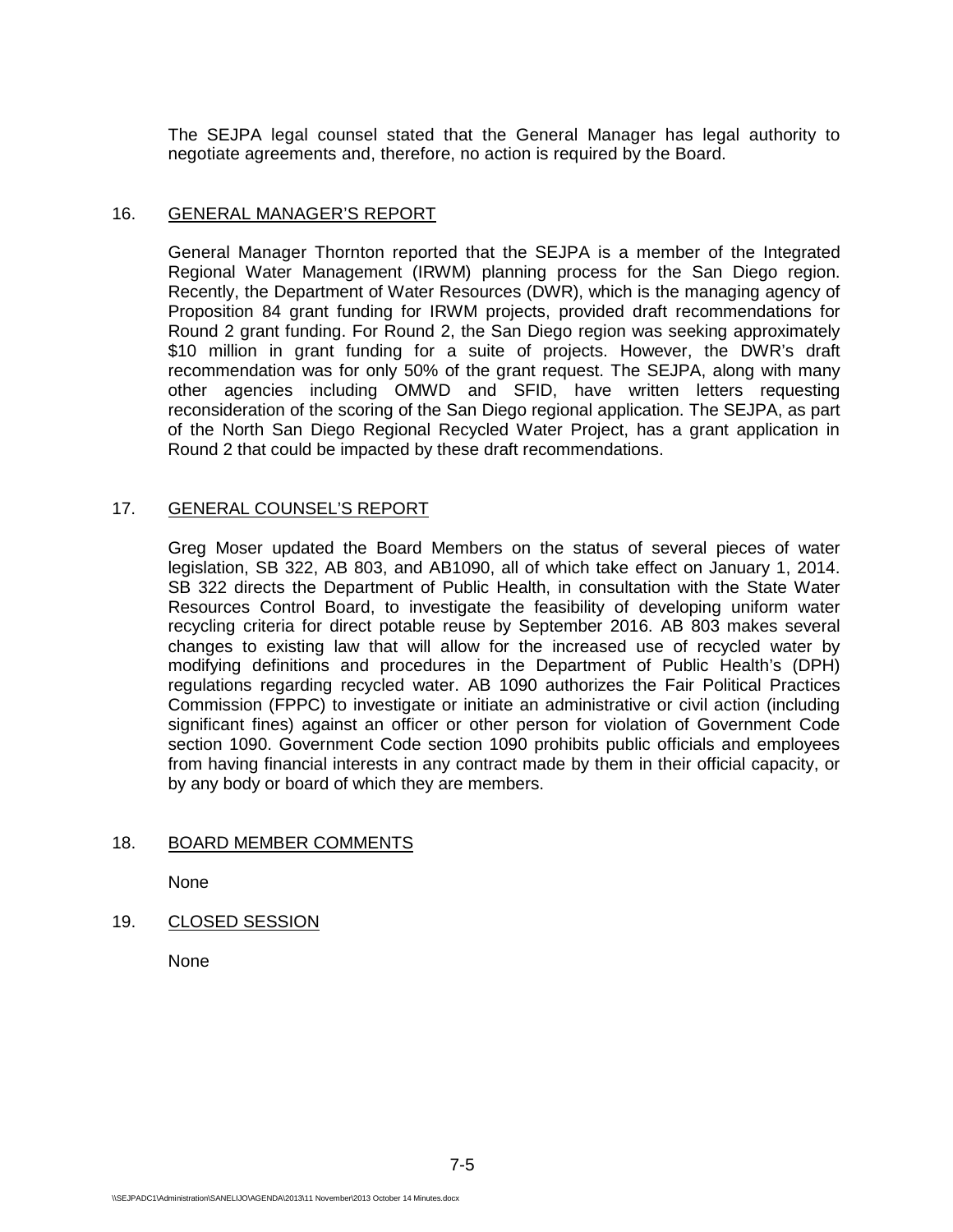The SEJPA legal counsel stated that the General Manager has legal authority to negotiate agreements and, therefore, no action is required by the Board.

### 16. GENERAL MANAGER'S REPORT

General Manager Thornton reported that the SEJPA is a member of the Integrated Regional Water Management (IRWM) planning process for the San Diego region. Recently, the Department of Water Resources (DWR), which is the managing agency of Proposition 84 grant funding for IRWM projects, provided draft recommendations for Round 2 grant funding. For Round 2, the San Diego region was seeking approximately \$10 million in grant funding for a suite of projects. However, the DWR's draft recommendation was for only 50% of the grant request. The SEJPA, along with many other agencies including OMWD and SFID, have written letters requesting reconsideration of the scoring of the San Diego regional application. The SEJPA, as part of the North San Diego Regional Recycled Water Project, has a grant application in Round 2 that could be impacted by these draft recommendations.

## 17. GENERAL COUNSEL'S REPORT

Greg Moser updated the Board Members on the status of several pieces of water legislation, SB 322, AB 803, and AB1090, all of which take effect on January 1, 2014. SB 322 directs the Department of Public Health, in consultation with the State Water Resources Control Board, to investigate the feasibility of developing uniform water recycling criteria for direct potable reuse by September 2016. AB 803 makes several changes to existing law that will allow for the increased use of recycled water by modifying definitions and procedures in the Department of Public Health's (DPH) regulations regarding recycled water. AB 1090 authorizes the Fair Political Practices Commission (FPPC) to investigate or initiate an administrative or civil action (including significant fines) against an officer or other person for violation of Government Code section 1090. Government Code section 1090 prohibits public officials and employees from having financial interests in any contract made by them in their official capacity, or by any body or board of which they are members.

## 18. BOARD MEMBER COMMENTS

None

19. CLOSED SESSION

None